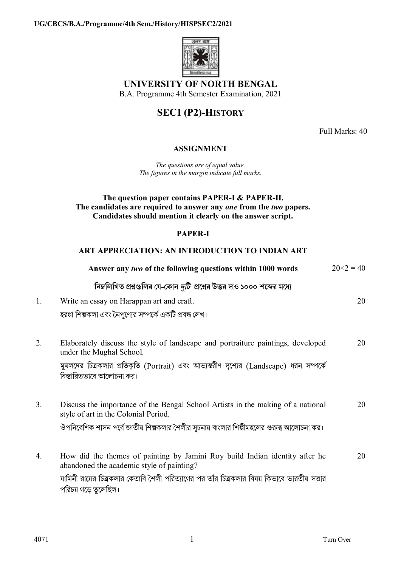

# **UNIVERSITY OF NORTH BENGAL**

B.A. Programme 4th Semester Examination, 2021

# **SEC1 (P2)-HISTORY**

Full Marks: 40

### **ASSIGNMENT**

*The questions are of equal value. The figures in the margin indicate full marks.*

#### **The question paper contains PAPER-I & PAPER-II. The candidates are required to answer any** *one* **from the** *two* **papers. Candidates should mention it clearly on the answer script.**

#### **PAPER-I**

#### **ART APPRECIATION: AN INTRODUCTION TO INDIAN ART**

|    | Answer any two of the following questions within 1000 words                                                              | $20 \times 2 = 40$ |
|----|--------------------------------------------------------------------------------------------------------------------------|--------------------|
|    | নিম্নলিখিত প্রশ্নগুলির যে-কোন <i>দুটি প্র</i> শ্নের উত্তর দাও ১০০০ শব্দের মধ্যে                                          |                    |
| 1. | Write an essay on Harappan art and craft.                                                                                | 20                 |
|    | হরপ্পা শিল্পকলা এবং নৈপুণ্যের সম্পর্কে একটি প্রবন্ধ লেখ।                                                                 |                    |
| 2. | Elaborately discuss the style of landscape and portraiture paintings, developed<br>under the Mughal School.              | 20                 |
|    | মুঘলদের চিত্রকলার প্রতিকৃতি (Portrait) এবং আভ্যন্তরীণ দৃশ্যের (Landscape) ধরন সম্পর্কে<br>বিস্তারিতভাবে আলোচনা কর।       |                    |
| 3. | Discuss the importance of the Bengal School Artists in the making of a national<br>style of art in the Colonial Period.  | 20                 |
|    | ঔপনিবেশিক শাসন পর্বে জাতীয় শিল্পকলার শৈলীর সূচনায় বাংলার শিল্পীমহলের গুরুত্ব আলোচনা কর।                                |                    |
| 4. | How did the themes of painting by Jamini Roy build Indian identity after he<br>abandoned the academic style of painting? | 20                 |
|    | যামিনী রায়ের চিত্রকলার কেতাবি শৈলী পরিত্যাগের পর তাঁর চিত্রকলার বিষয় কিভাবে ভারতীয় সত্তার<br>পরিচয় গড়ে তুলেছিল।     |                    |